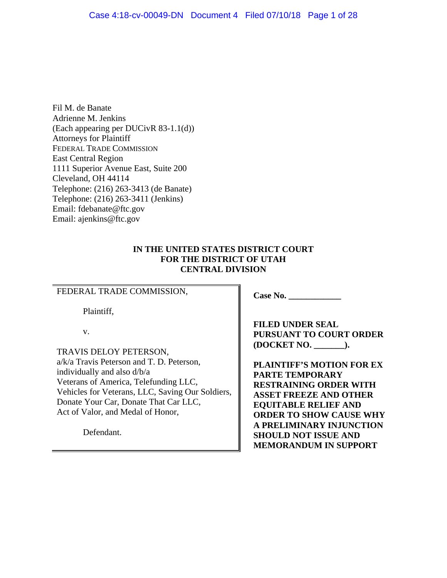FEDERAL TRADE COMMISSION East Central Region Fil M. de Banate Adrienne M. Jenkins (Each appearing per DUCivR 83-1.1(d)) Attorneys for Plaintiff 1111 Superior Avenue East, Suite 200 Cleveland, OH 44114 Telephone: (216) 263-3413 (de Banate) Telephone: (216) 263-3411 (Jenkins) Email: fdebanate@ftc.gov Email: ajenkins@ftc.gov

## **IN THE UNITED STATES DISTRICT COURT FOR THE DISTRICT OF UTAH CENTRAL DIVISION**

#### FEDERAL TRADE COMMISSION,

Plaintiff,

v.

TRAVIS DELOY PETERSON, a/k/a Travis Peterson and T. D. Peterson, individually and also d/b/a Veterans of America, Telefunding LLC, Vehicles for Veterans, LLC, Saving Our Soldiers, Donate Your Car, Donate That Car LLC, Act of Valor, and Medal of Honor,

Defendant.

**Case No. \_\_\_\_\_\_\_\_\_\_\_\_** 

**FILED UNDER SEAL FURSUANT TO COURT ORDER (DOCKET NO. \_\_\_\_\_\_\_).** 

**PLAINTIFF'S MOTION FOR EX PARTE TEMPORARY RESTRAINING ORDER WITH ASSET FREEZE AND OTHER EQUITABLE RELIEF AND ORDER TO SHOW CAUSE WHY A PRELIMINARY INJUNCTION SHOULD NOT ISSUE AND MEMORANDUM IN SUPPORT**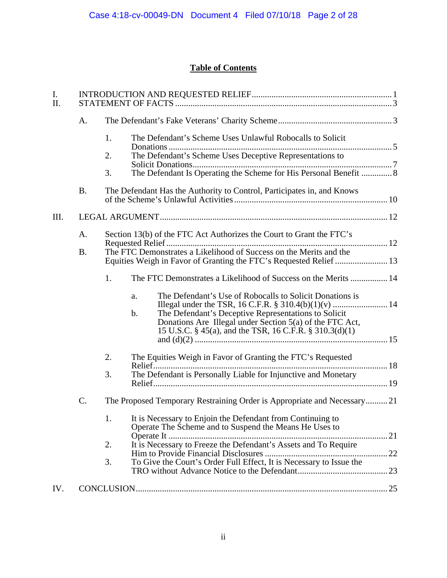# **Table of Contents**

| I.<br>II. |           |    |                                                                                                                                                                                                                                                                |  |  |  |
|-----------|-----------|----|----------------------------------------------------------------------------------------------------------------------------------------------------------------------------------------------------------------------------------------------------------------|--|--|--|
|           | A.        |    |                                                                                                                                                                                                                                                                |  |  |  |
|           |           | 1. | The Defendant's Scheme Uses Unlawful Robocalls to Solicit                                                                                                                                                                                                      |  |  |  |
|           |           | 2. | The Defendant's Scheme Uses Deceptive Representations to                                                                                                                                                                                                       |  |  |  |
|           |           | 3. | The Defendant Is Operating the Scheme for His Personal Benefit  8                                                                                                                                                                                              |  |  |  |
|           | <b>B.</b> |    | The Defendant Has the Authority to Control, Participates in, and Knows                                                                                                                                                                                         |  |  |  |
| III.      |           |    |                                                                                                                                                                                                                                                                |  |  |  |
|           | A.        |    | Section 13(b) of the FTC Act Authorizes the Court to Grant the FTC's                                                                                                                                                                                           |  |  |  |
|           | <b>B.</b> |    | The FTC Demonstrates a Likelihood of Success on the Merits and the<br>Equities Weigh in Favor of Granting the FTC's Requested Relief  13                                                                                                                       |  |  |  |
|           |           | 1. | The FTC Demonstrates a Likelihood of Success on the Merits  14                                                                                                                                                                                                 |  |  |  |
|           |           |    | The Defendant's Use of Robocalls to Solicit Donations is<br>a.<br>The Defendant's Deceptive Representations to Solicit<br>$\mathbf b$ .<br>Donations Are Illegal under Section 5(a) of the FTC Act,<br>15 U.S.C. § 45(a), and the TSR, 16 C.F.R. § 310.3(d)(1) |  |  |  |
|           |           | 2. | The Equities Weigh in Favor of Granting the FTC's Requested<br>The Defendant is Personally Liable for Injunctive and Monetary                                                                                                                                  |  |  |  |
|           |           | 3. |                                                                                                                                                                                                                                                                |  |  |  |
|           | C.        |    | The Proposed Temporary Restraining Order is Appropriate and Necessary21                                                                                                                                                                                        |  |  |  |
|           |           | 1. | It is Necessary to Enjoin the Defendant from Continuing to<br>Operate The Scheme and to Suspend the Means He Uses to                                                                                                                                           |  |  |  |
|           |           | 2. | It is Necessary to Freeze the Defendant's Assets and To Require                                                                                                                                                                                                |  |  |  |
|           |           | 3. | To Give the Court's Order Full Effect, It is Necessary to Issue the                                                                                                                                                                                            |  |  |  |
| IV.       |           |    |                                                                                                                                                                                                                                                                |  |  |  |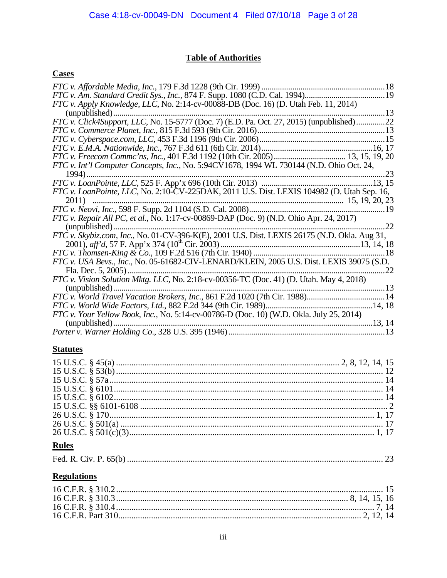# **Table of Authorities**

## **Cases**

| <i>FTC v. Affordable Media, Inc., 179 F.3d 1228 (9th Cir. 1999) </i>                           |
|------------------------------------------------------------------------------------------------|
|                                                                                                |
| FTC v. Apply Knowledge, LLC, No. 2:14-cv-00088-DB (Doc. 16) (D. Utah Feb. 11, 2014)            |
| .13<br>$(unpublished)$                                                                         |
| FTC v. Click4Support, LLC, No. 15-5777 (Doc. 7) (E.D. Pa. Oct. 27, 2015) (unpublished)22       |
|                                                                                                |
|                                                                                                |
|                                                                                                |
|                                                                                                |
| FTC v. Int'l Computer Concepts, Inc., No. 5:94CV1678, 1994 WL 730144 (N.D. Ohio Oct. 24,       |
| $1994)$<br>23                                                                                  |
|                                                                                                |
| FTC v. LoanPointe, LLC, No. 2:10-CV-225DAK, 2011 U.S. Dist. LEXIS 104982 (D. Utah Sep. 16,     |
| 2011)                                                                                          |
| .19                                                                                            |
| FTC v. Repair All PC, et al., No. 1:17-cv-00869-DAP (Doc. 9) (N.D. Ohio Apr. 24, 2017)         |
| 22<br>(unpublished)                                                                            |
| FTC v. Skybiz.com, Inc., No. 01-CV-396-K(E), 2001 U.S. Dist. LEXIS 26175 (N.D. Okla. Aug 31,   |
|                                                                                                |
| 18                                                                                             |
| FTC v. USA Bevs., Inc., No. 05-61682-CIV-LENARD/KLEIN, 2005 U.S. Dist. LEXIS 39075 (S.D.       |
| Fla. Dec. 5, 2005)<br>22                                                                       |
| FTC v. Vision Solution Mktg. LLC, No. 2:18-cv-00356-TC (Doc. 41) (D. Utah. May 4, 2018)        |
| 13<br>(unpublished)                                                                            |
| 14                                                                                             |
| 14, 18                                                                                         |
| <i>FTC v. Your Yellow Book, Inc., No.</i> 5:14-cv-00786-D (Doc. 10) (W.D. Okla. July 25, 2014) |
| 13, 14<br>(unpublished).                                                                       |
|                                                                                                |

## **Statutes**

# **Rules**

# **Regulations**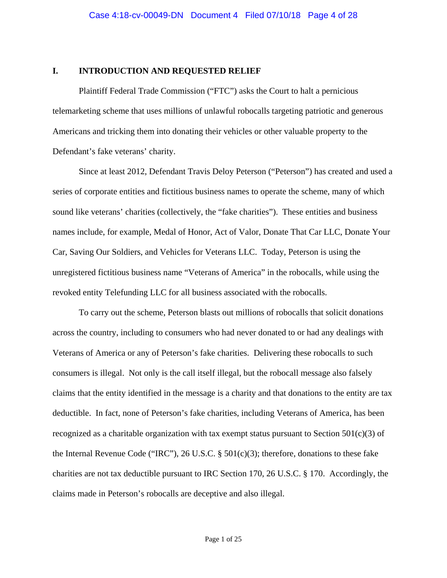#### **I. INTRODUCTION AND REQUESTED RELIEF**

Plaintiff Federal Trade Commission ("FTC") asks the Court to halt a pernicious telemarketing scheme that uses millions of unlawful robocalls targeting patriotic and generous Americans and tricking them into donating their vehicles or other valuable property to the Defendant's fake veterans' charity.

Since at least 2012, Defendant Travis Deloy Peterson ("Peterson") has created and used a series of corporate entities and fictitious business names to operate the scheme, many of which sound like veterans' charities (collectively, the "fake charities"). These entities and business names include, for example, Medal of Honor, Act of Valor, Donate That Car LLC, Donate Your Car, Saving Our Soldiers, and Vehicles for Veterans LLC. Today, Peterson is using the unregistered fictitious business name "Veterans of America" in the robocalls, while using the revoked entity Telefunding LLC for all business associated with the robocalls.

To carry out the scheme, Peterson blasts out millions of robocalls that solicit donations across the country, including to consumers who had never donated to or had any dealings with Veterans of America or any of Peterson's fake charities. Delivering these robocalls to such consumers is illegal. Not only is the call itself illegal, but the robocall message also falsely claims that the entity identified in the message is a charity and that donations to the entity are tax deductible. In fact, none of Peterson's fake charities, including Veterans of America, has been recognized as a charitable organization with tax exempt status pursuant to Section  $501(c)(3)$  of the Internal Revenue Code ("IRC"), 26 U.S.C. § 501(c)(3); therefore, donations to these fake charities are not tax deductible pursuant to IRC Section 170, 26 U.S.C. § 170. Accordingly, the claims made in Peterson's robocalls are deceptive and also illegal.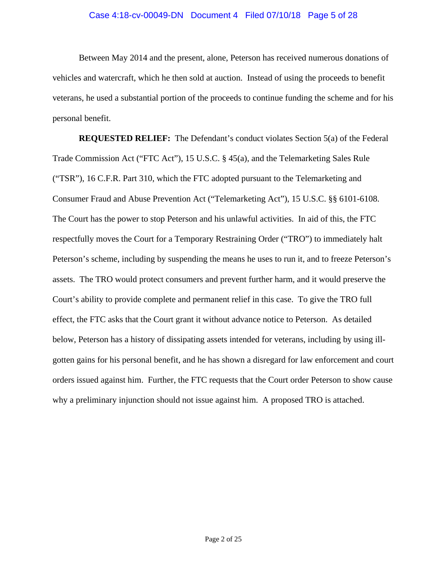#### Case 4:18-cv-00049-DN Document 4 Filed 07/10/18 Page 5 of 28

Between May 2014 and the present, alone, Peterson has received numerous donations of vehicles and watercraft, which he then sold at auction. Instead of using the proceeds to benefit veterans, he used a substantial portion of the proceeds to continue funding the scheme and for his personal benefit.

**REQUESTED RELIEF:** The Defendant's conduct violates Section 5(a) of the Federal Trade Commission Act ("FTC Act"), 15 U.S.C. § 45(a), and the Telemarketing Sales Rule ("TSR"), 16 C.F.R. Part 310, which the FTC adopted pursuant to the Telemarketing and Consumer Fraud and Abuse Prevention Act ("Telemarketing Act"), 15 U.S.C. §§ 6101-6108. The Court has the power to stop Peterson and his unlawful activities. In aid of this, the FTC respectfully moves the Court for a Temporary Restraining Order ("TRO") to immediately halt Peterson's scheme, including by suspending the means he uses to run it, and to freeze Peterson's assets. The TRO would protect consumers and prevent further harm, and it would preserve the Court's ability to provide complete and permanent relief in this case. To give the TRO full effect, the FTC asks that the Court grant it without advance notice to Peterson. As detailed below, Peterson has a history of dissipating assets intended for veterans, including by using illgotten gains for his personal benefit, and he has shown a disregard for law enforcement and court orders issued against him. Further, the FTC requests that the Court order Peterson to show cause why a preliminary injunction should not issue against him. A proposed TRO is attached.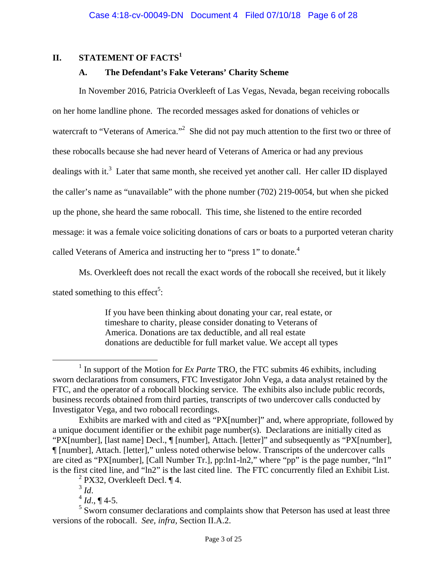## **II. STATEMENT OF FACTS<sup>1</sup>**

## **A. The Defendant's Fake Veterans' Charity Scheme**

In November 2016, Patricia Overkleeft of Las Vegas, Nevada, began receiving robocalls on her home landline phone. The recorded messages asked for donations of vehicles or watercraft to "Veterans of America."<sup>2</sup> She did not pay much attention to the first two or three of these robocalls because she had never heard of Veterans of America or had any previous dealings with it.<sup>3</sup> Later that same month, she received yet another call. Her caller ID displayed the caller's name as "unavailable" with the phone number (702) 219-0054, but when she picked up the phone, she heard the same robocall. This time, she listened to the entire recorded message: it was a female voice soliciting donations of cars or boats to a purported veteran charity called Veterans of America and instructing her to "press 1" to donate.<sup>4</sup>

Ms. Overkleeft does not recall the exact words of the robocall she received, but it likely

stated something to this effect<sup>5</sup>:

If you have been thinking about donating your car, real estate, or timeshare to charity, please consider donating to Veterans of America. Donations are tax deductible, and all real estate donations are deductible for full market value. We accept all types

<sup>&</sup>lt;sup>1</sup> In support of the Motion for *Ex Parte* TRO, the FTC submits 46 exhibits, including sworn declarations from consumers, FTC Investigator John Vega, a data analyst retained by the FTC, and the operator of a robocall blocking service. The exhibits also include public records, business records obtained from third parties, transcripts of two undercover calls conducted by Investigator Vega, and two robocall recordings.

Exhibits are marked with and cited as "PX[number]" and, where appropriate, followed by a unique document identifier or the exhibit page number(s). Declarations are initially cited as "PX[number], [last name] Decl., ¶ [number], Attach. [letter]" and subsequently as "PX[number], ¶ [number], Attach. [letter]," unless noted otherwise below. Transcripts of the undercover calls are cited as "PX[number], [Call Number Tr.], pp:ln1-ln2," where "pp" is the page number, "ln1" is the first cited line, and "ln2" is the last cited line. The FTC concurrently filed an Exhibit List.

 $2$  PX32, Overkleeft Decl.  $\P$  4.

 $\int_{4}^{3}$  *Id.*, ¶ 4-5.

 $<sup>5</sup>$  Sworn consumer declarations and complaints show that Peterson has used at least three</sup> versions of the robocall. *See, infra,* Section II.A.2.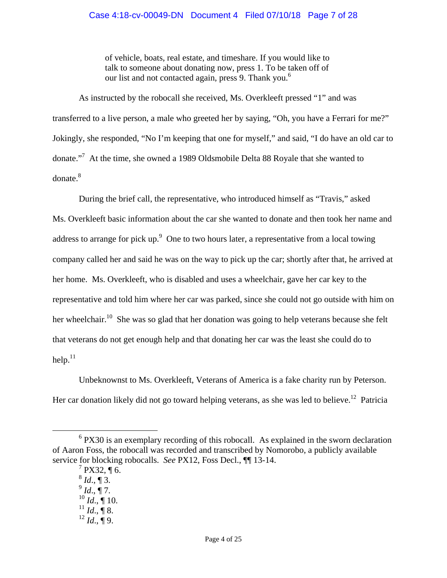our list and not contacted again, press 9. Thank you.<sup>6</sup> of vehicle, boats, real estate, and timeshare. If you would like to talk to someone about donating now, press 1. To be taken off of

transferred to a live person, a male who greeted her by saying, "Oh, you have a Ferrari for me?" As instructed by the robocall she received, Ms. Overkleeft pressed "1" and was Jokingly, she responded, "No I'm keeping that one for myself," and said, "I do have an old car to donate."<sup>7</sup> At the time, she owned a 1989 Oldsmobile Delta 88 Royale that she wanted to donate.<sup>8</sup>

During the brief call, the representative, who introduced himself as "Travis," asked Ms. Overkleeft basic information about the car she wanted to donate and then took her name and address to arrange for pick up.<sup>9</sup> One to two hours later, a representative from a local towing company called her and said he was on the way to pick up the car; shortly after that, he arrived at her home. Ms. Overkleeft, who is disabled and uses a wheelchair, gave her car key to the representative and told him where her car was parked, since she could not go outside with him on her wheelchair.<sup>10</sup> She was so glad that her donation was going to help veterans because she felt that veterans do not get enough help and that donating her car was the least she could do to help. $^{11}$ 

Unbeknownst to Ms. Overkleeft, Veterans of America is a fake charity run by Peterson. Her car donation likely did not go toward helping veterans, as she was led to believe.<sup>12</sup> Patricia

 $6$  PX30 is an exemplary recording of this robocall. As explained in the sworn declaration of Aaron Foss, the robocall was recorded and transcribed by Nomorobo, a publicly available service for blocking robocalls. *See* PX12, Foss Decl., ¶¶ 13-14.

 $^7$  PX32, ¶ 6. <sup>8</sup>*Id*., ¶ 3.  $^{9}$  *Id.*, ¶ 7.  $^{10}$  *Id.*, ¶ 10.  $^{11}$ *Id.*, ¶ 8.  $^{12}$  *Id.*, ¶ 9.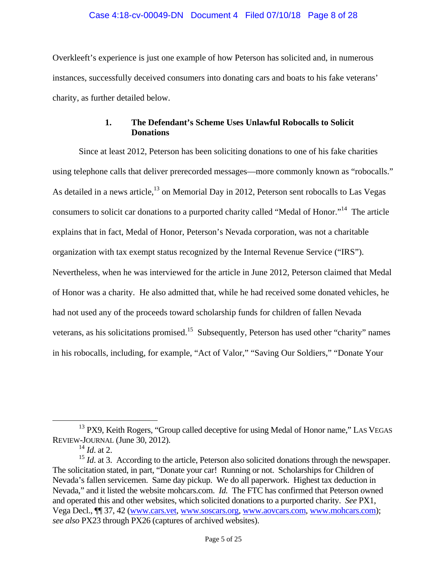#### Case 4:18-cv-00049-DN Document 4 Filed 07/10/18 Page 8 of 28

Overkleeft's experience is just one example of how Peterson has solicited and, in numerous instances, successfully deceived consumers into donating cars and boats to his fake veterans' charity, as further detailed below.

## **1. The Defendant's Scheme Uses Unlawful Robocalls to Solicit Donations**

Since at least 2012, Peterson has been soliciting donations to one of his fake charities using telephone calls that deliver prerecorded messages—more commonly known as "robocalls." As detailed in a news article,<sup>13</sup> on Memorial Day in 2012, Peterson sent robocalls to Las Vegas consumers to solicit car donations to a purported charity called "Medal of Honor."14 The article explains that in fact, Medal of Honor, Peterson's Nevada corporation, was not a charitable organization with tax exempt status recognized by the Internal Revenue Service ("IRS"). Nevertheless, when he was interviewed for the article in June 2012, Peterson claimed that Medal of Honor was a charity. He also admitted that, while he had received some donated vehicles, he had not used any of the proceeds toward scholarship funds for children of fallen Nevada veterans, as his solicitations promised.<sup>15</sup> Subsequently, Peterson has used other "charity" names in his robocalls, including, for example, "Act of Valor," "Saving Our Soldiers," "Donate Your

<sup>&</sup>lt;sup>13</sup> PX9, Keith Rogers, "Group called deceptive for using Medal of Honor name," LAS VEGAS REVIEW-JOURNAL (June 30, 2012).

<sup>14</sup>*Id*. at 2.

 Nevada," and it listed the website mohcars.com. *Id.* The FTC has confirmed that Peterson owned <sup>15</sup> *Id.* at 3. According to the article, Peterson also solicited donations through the newspaper. The solicitation stated, in part, "Donate your car! Running or not. Scholarships for Children of Nevada's fallen servicemen. Same day pickup. We do all paperwork. Highest tax deduction in and operated this and other websites, which solicited donations to a purported charity. *See* PX1, Vega Decl., ¶¶ 37, 42 (www.cars.vet, www.soscars.org, www.aovcars.com, www.mohcars.com); *see also* PX23 through PX26 (captures of archived websites).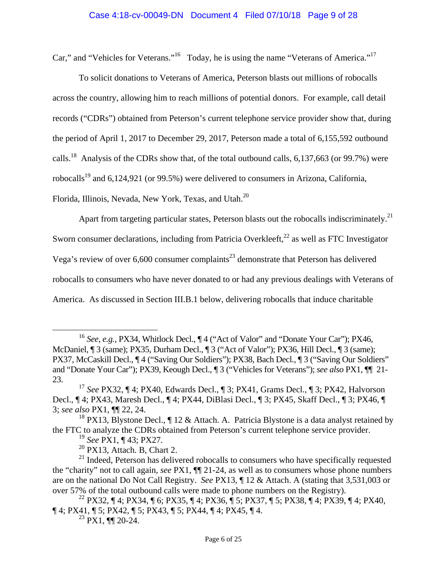#### Case 4:18-cv-00049-DN Document 4 Filed 07/10/18 Page 9 of 28

Car," and "Vehicles for Veterans."<sup>16</sup> Today, he is using the name "Veterans of America."<sup>17</sup>

To solicit donations to Veterans of America, Peterson blasts out millions of robocalls across the country, allowing him to reach millions of potential donors. For example, call detail records ("CDRs") obtained from Peterson's current telephone service provider show that, during the period of April 1, 2017 to December 29, 2017, Peterson made a total of 6,155,592 outbound calls.18 Analysis of the CDRs show that, of the total outbound calls, 6,137,663 (or 99.7%) were robocalls<sup>19</sup> and 6,124,921 (or 99.5%) were delivered to consumers in Arizona, California, Florida, Illinois, Nevada, New York, Texas, and Utah.<sup>20</sup>

Apart from targeting particular states, Peterson blasts out the robocalls indiscriminately.<sup>21</sup>

Sworn consumer declarations, including from Patricia Overkleeft, $^{22}$  as well as FTC Investigator

Vega's review of over  $6,600$  consumer complaints<sup>23</sup> demonstrate that Peterson has delivered

robocalls to consumers who have never donated to or had any previous dealings with Veterans of

America. As discussed in Section III.B.1 below, delivering robocalls that induce charitable

<sup>&</sup>lt;sup>16</sup> See, e.g., PX34, Whitlock Decl., ¶ 4 ("Act of Valor" and "Donate Your Car"); PX46, McDaniel, ¶ 3 (same); PX35, Durham Decl., ¶ 3 ("Act of Valor"); PX36, Hill Decl., ¶ 3 (same); PX37, McCaskill Decl., ¶ 4 ("Saving Our Soldiers"); PX38, Bach Decl., ¶ 3 ("Saving Our Soldiers" and "Donate Your Car"); PX39, Keough Decl., ¶ 3 ("Vehicles for Veterans"); *see also* PX1, ¶¶ 21- 23.

<sup>17</sup>*See* PX32, ¶ 4; PX40, Edwards Decl., ¶ 3; PX41, Grams Decl., ¶ 3; PX42, Halvorson Decl., ¶ 4; PX43, Maresh Decl., ¶ 4; PX44, DiBlasi Decl., ¶ 3; PX45, Skaff Decl., ¶ 3; PX46, ¶ 3; *see also* PX1, ¶¶ 22, 24.

<sup>&</sup>lt;sup>18</sup> PX13, Blystone Decl., ¶ 12 & Attach. A. Patricia Blystone is a data analyst retained by the FTC to analyze the CDRs obtained from Peterson's current telephone service provider.

<sup>19</sup>*See* PX1, ¶ 43; PX27.

 $20$  PX13, Attach. B, Chart 2.

 $21$  Indeed, Peterson has delivered robocalls to consumers who have specifically requested the "charity" not to call again, *see* PX1, ¶¶ 21-24, as well as to consumers whose phone numbers are on the national Do Not Call Registry. *See* PX13, ¶ 12 & Attach. A (stating that 3,531,003 or over 57% of the total outbound calls were made to phone numbers on the Registry).

<sup>22</sup> PX32, ¶ 4; PX34, ¶ 6; PX35, ¶ 4; PX36, ¶ 5; PX37, ¶ 5; PX38, ¶ 4; PX39, ¶ 4; PX40, ¶ 4; PX41, ¶ 5; PX42, ¶ 5; PX43, ¶ 5; PX44, ¶ 4; PX45, ¶ 4.

 $^{23}$  PX1, ¶¶ 20-24.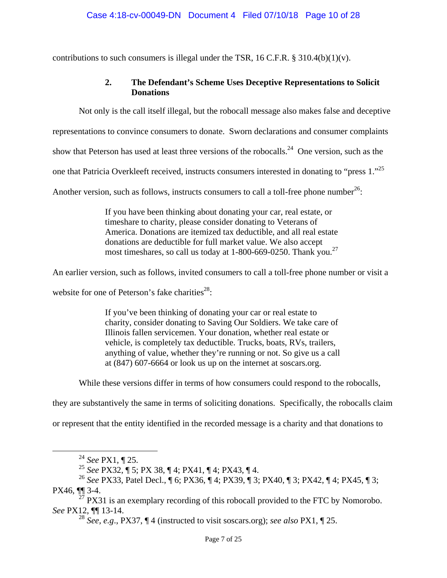contributions to such consumers is illegal under the TSR, 16 C.F.R. § 310.4(b)(1)(v).

## **2. The Defendant's Scheme Uses Deceptive Representations to Solicit Donations**

Not only is the call itself illegal, but the robocall message also makes false and deceptive

representations to convince consumers to donate. Sworn declarations and consumer complaints

show that Peterson has used at least three versions of the robocalls.<sup>24</sup> One version, such as the

one that Patricia Overkleeft received, instructs consumers interested in donating to "press 1."<sup>25</sup>

Another version, such as follows, instructs consumers to call a toll-free phone number<sup>26</sup>:

If you have been thinking about donating your car, real estate, or timeshare to charity, please consider donating to Veterans of America. Donations are itemized tax deductible, and all real estate donations are deductible for full market value. We also accept most timeshares, so call us today at  $1-800-669-0250$ . Thank you.<sup>27</sup>

An earlier version, such as follows, invited consumers to call a toll-free phone number or visit a

website for one of Peterson's fake charities<sup>28</sup>:

If you've been thinking of donating your car or real estate to charity, consider donating to Saving Our Soldiers. We take care of Illinois fallen servicemen. Your donation, whether real estate or vehicle, is completely tax deductible. Trucks, boats, RVs, trailers, anything of value, whether they're running or not. So give us a call at (847) 607-6664 or look us up on the internet at soscars.org.

While these versions differ in terms of how consumers could respond to the robocalls,

they are substantively the same in terms of soliciting donations. Specifically, the robocalls claim

or represent that the entity identified in the recorded message is a charity and that donations to

<sup>24</sup>*See* PX1, ¶ 25.

<sup>25</sup>*See* PX32, ¶ 5; PX 38, ¶ 4; PX41, ¶ 4; PX43, ¶ 4.

<sup>26</sup>*See* PX33, Patel Decl., ¶ 6; PX36, ¶ 4; PX39, ¶ 3; PX40, ¶ 3; PX42, ¶ 4; PX45, ¶ 3; PX46, ¶¶ 3-4.

PX31 is an exemplary recording of this robocall provided to the FTC by Nomorobo. *See* PX12, ¶¶ 13-14.

<sup>28</sup>*See, e.g*., PX37, ¶ 4 (instructed to visit soscars.org); *see also* PX1, ¶ 25.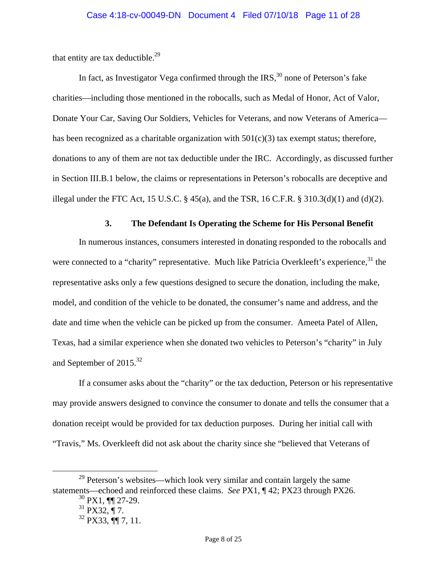that entity are tax deductible. $29$ 

In fact, as Investigator Vega confirmed through the IRS,  $30$  none of Peterson's fake charities—including those mentioned in the robocalls, such as Medal of Honor, Act of Valor, Donate Your Car, Saving Our Soldiers, Vehicles for Veterans, and now Veterans of America has been recognized as a charitable organization with  $501(c)(3)$  tax exempt status; therefore, donations to any of them are not tax deductible under the IRC. Accordingly, as discussed further in Section III.B.1 below, the claims or representations in Peterson's robocalls are deceptive and illegal under the FTC Act, 15 U.S.C.  $\S$  45(a), and the TSR, 16 C.F.R.  $\S$  310.3(d)(1) and (d)(2).

## **3. The Defendant Is Operating the Scheme for His Personal Benefit**

In numerous instances, consumers interested in donating responded to the robocalls and were connected to a "charity" representative. Much like Patricia Overkleeft's experience,  $31$  the representative asks only a few questions designed to secure the donation, including the make, model, and condition of the vehicle to be donated, the consumer's name and address, and the date and time when the vehicle can be picked up from the consumer. Ameeta Patel of Allen, Texas, had a similar experience when she donated two vehicles to Peterson's "charity" in July and September of 2015.32

If a consumer asks about the "charity" or the tax deduction, Peterson or his representative may provide answers designed to convince the consumer to donate and tells the consumer that a donation receipt would be provided for tax deduction purposes. During her initial call with "Travis," Ms. Overkleeft did not ask about the charity since she "believed that Veterans of

<sup>&</sup>lt;sup>29</sup> Peterson's websites—which look very similar and contain largely the same statements—echoed and reinforced these claims. *See* PX1, ¶ 42; PX23 through PX26.

<sup>30</sup> PX1, ¶¶ 27-29.

 $31$  PX32, ¶ 7.

 $32 \text{ PX}$ 33,  $\frac{1}{11}$  7, 11.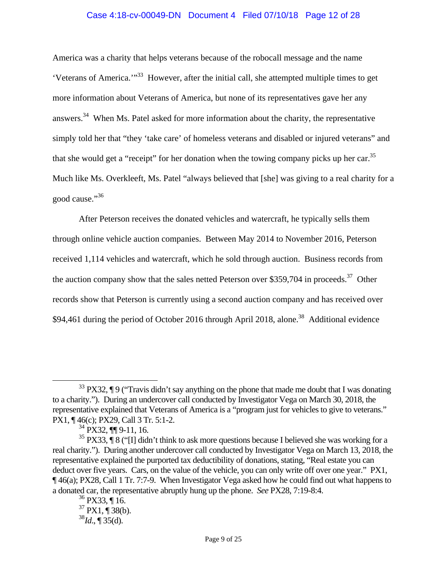#### Case 4:18-cv-00049-DN Document 4 Filed 07/10/18 Page 12 of 28

that she would get a "receipt" for her donation when the towing company picks up her car.<sup>35</sup> America was a charity that helps veterans because of the robocall message and the name 'Veterans of America.'"33 However, after the initial call, she attempted multiple times to get more information about Veterans of America, but none of its representatives gave her any answers.34 When Ms. Patel asked for more information about the charity, the representative simply told her that "they 'take care' of homeless veterans and disabled or injured veterans" and Much like Ms. Overkleeft, Ms. Patel "always believed that [she] was giving to a real charity for a good cause."<sup>36</sup>

After Peterson receives the donated vehicles and watercraft, he typically sells them through online vehicle auction companies. Between May 2014 to November 2016, Peterson received 1,114 vehicles and watercraft, which he sold through auction. Business records from the auction company show that the sales netted Peterson over \$359,704 in proceeds. $37$  Other records show that Peterson is currently using a second auction company and has received over \$94,461 during the period of October 2016 through April 2018, alone.<sup>38</sup> Additional evidence

<sup>&</sup>lt;sup>33</sup> PX32, ¶ 9 ("Travis didn't say anything on the phone that made me doubt that I was donating to a charity."). During an undercover call conducted by Investigator Vega on March 30, 2018, the representative explained that Veterans of America is a "program just for vehicles to give to veterans." PX1, ¶ 46(c); PX29, Call 3 Tr. 5:1-2.

 $34$  PX32, [[9-11, 16.

<sup>&</sup>lt;sup>35</sup> PX33, ¶ 8 ("II didn't think to ask more questions because I believed she was working for a real charity."). During another undercover call conducted by Investigator Vega on March 13, 2018, the representative explained the purported tax deductibility of donations, stating, "Real estate you can deduct over five years. Cars, on the value of the vehicle, you can only write off over one year." PX1, ¶ 46(a); PX28, Call 1 Tr. 7:7-9. When Investigator Vega asked how he could find out what happens to a donated car, the representative abruptly hung up the phone. *See* PX28, 7:19-8:4.

 $36$  PX33, ¶ 16.  $37$  PX1, ¶ 38(b).  $38$ *Id.*, ¶ 35(d).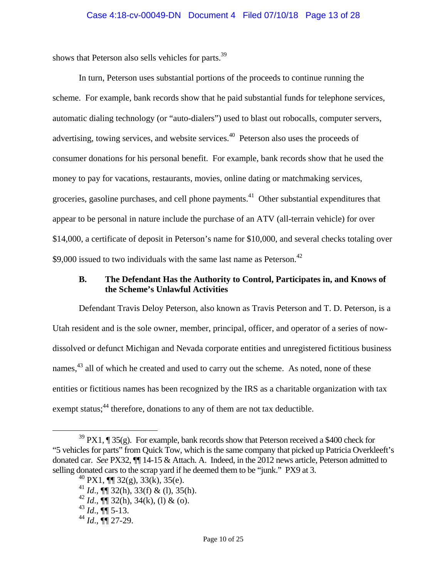shows that Peterson also sells vehicles for parts.<sup>39</sup>

In turn, Peterson uses substantial portions of the proceeds to continue running the scheme. For example, bank records show that he paid substantial funds for telephone services, automatic dialing technology (or "auto-dialers") used to blast out robocalls, computer servers, advertising, towing services, and website services.<sup>40</sup> Peterson also uses the proceeds of consumer donations for his personal benefit. For example, bank records show that he used the money to pay for vacations, restaurants, movies, online dating or matchmaking services, groceries, gasoline purchases, and cell phone payments.<sup>41</sup> Other substantial expenditures that appear to be personal in nature include the purchase of an ATV (all-terrain vehicle) for over \$14,000, a certificate of deposit in Peterson's name for \$10,000, and several checks totaling over \$9,000 issued to two individuals with the same last name as Peterson.<sup>42</sup>

### **B. The Defendant Has the Authority to Control, Participates in, and Knows of the Scheme's Unlawful Activities**

Defendant Travis Deloy Peterson, also known as Travis Peterson and T. D. Peterson, is a Utah resident and is the sole owner, member, principal, officer, and operator of a series of nowdissolved or defunct Michigan and Nevada corporate entities and unregistered fictitious business names,<sup>43</sup> all of which he created and used to carry out the scheme. As noted, none of these entities or fictitious names has been recognized by the IRS as a charitable organization with tax exempt status;<sup>44</sup> therefore, donations to any of them are not tax deductible.

 $39$  PX1, ¶ 35(g). For example, bank records show that Peterson received a \$400 check for "5 vehicles for parts" from Quick Tow, which is the same company that picked up Patricia Overkleeft's donated car. *See* PX32, ¶¶ 14-15 & Attach. A. Indeed, in the 2012 news article, Peterson admitted to selling donated cars to the scrap yard if he deemed them to be "junk." PX9 at 3.

 $^{40}$  PX1, ¶¶ 32(g), 33(k), 35(e).

<sup>&</sup>lt;sup>41</sup> *Id.*,  $\P\P$  32(h), 33(f) & (l), 35(h).

<sup>&</sup>lt;sup>42</sup> Id.,  $\P\P$  32(h), 34(k), (l) & (o).

 $^{43}$  *Id.*,  $\P\P$  5-13.

<sup>44</sup>*Id*., ¶¶ 27-29.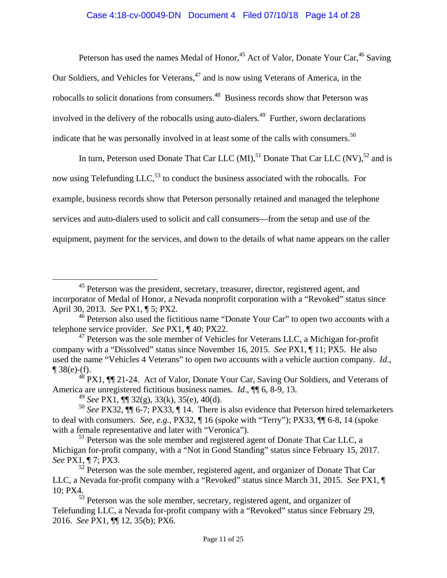#### Case 4:18-cv-00049-DN Document 4 Filed 07/10/18 Page 14 of 28

Peterson has used the names Medal of Honor,<sup>45</sup> Act of Valor, Donate Your Car,<sup>46</sup> Saving Our Soldiers, and Vehicles for Veterans,<sup>47</sup> and is now using Veterans of America, in the robocalls to solicit donations from consumers.<sup>48</sup> Business records show that Peterson was involved in the delivery of the robocalls using auto-dialers.<sup>49</sup> Further, sworn declarations indicate that he was personally involved in at least some of the calls with consumers.<sup>50</sup>

In turn, Peterson used Donate That Car LLC  $(MI)$ ,<sup>51</sup> Donate That Car LLC  $(NV)$ ,<sup>52</sup> and is now using Telefunding  $LLC<sub>1</sub><sup>53</sup>$  to conduct the business associated with the robocalls. For example, business records show that Peterson personally retained and managed the telephone services and auto-dialers used to solicit and call consumers—from the setup and use of the equipment, payment for the services, and down to the details of what name appears on the caller

<sup>&</sup>lt;sup>45</sup> Peterson was the president, secretary, treasurer, director, registered agent, and incorporator of Medal of Honor, a Nevada nonprofit corporation with a "Revoked" status since April 30, 2013. *See* PX1, ¶ 5; PX2.

 $46$  Peterson also used the fictitious name "Donate Your Car" to open two accounts with a telephone service provider. *See* PX1, ¶ 40; PX22.

 $47$  Peterson was the sole member of Vehicles for Veterans LLC, a Michigan for-profit company with a "Dissolved" status since November 16, 2015. *See* PX1, ¶ 11; PX5. He also used the name "Vehicles 4 Veterans" to open two accounts with a vehicle auction company. *Id*.,  $\P$  38(e)-(f).

<sup>&</sup>lt;sup>48</sup> PX1, III 21-24. Act of Valor, Donate Your Car, Saving Our Soldiers, and Veterans of America are unregistered fictitious business names. *Id*., ¶¶ 6, 8-9, 13.

<sup>49</sup>*See* PX1, ¶¶ 32(g), 33(k), 35(e), 40(d).

<sup>50</sup>*See* PX32, ¶¶ 6-7; PX33, ¶ 14. There is also evidence that Peterson hired telemarketers to deal with consumers. *See, e.g.*, PX32, ¶ 16 (spoke with "Terry"); PX33, ¶¶ 6-8, 14 (spoke with a female representative and later with "Veronica").

 $<sup>51</sup>$  Peterson was the sole member and registered agent of Donate That Car LLC, a</sup> Michigan for-profit company, with a "Not in Good Standing" status since February 15, 2017. *See* PX1, ¶ 7; PX3.

 $52$  Peterson was the sole member, registered agent, and organizer of Donate That Car LLC, a Nevada for-profit company with a "Revoked" status since March 31, 2015. *See* PX1, ¶ 10; PX4.

 $53$  Peterson was the sole member, secretary, registered agent, and organizer of Telefunding LLC, a Nevada for-profit company with a "Revoked" status since February 29, 2016. *See* PX1, ¶¶ 12, 35(b); PX6.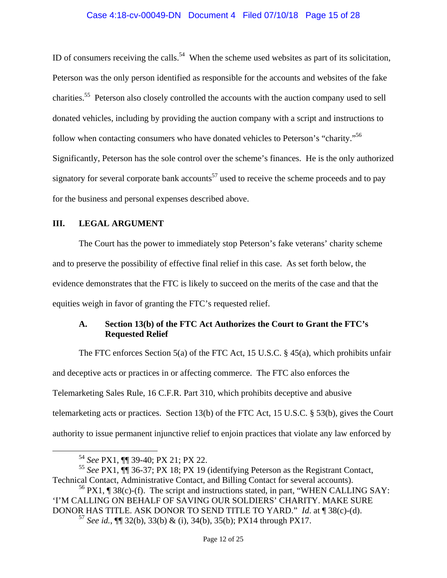follow when contacting consumers who have donated vehicles to Peterson's "charity."<sup>56</sup> ID of consumers receiving the calls.<sup>54</sup> When the scheme used websites as part of its solicitation, Peterson was the only person identified as responsible for the accounts and websites of the fake charities.<sup>55</sup> Peterson also closely controlled the accounts with the auction company used to sell donated vehicles, including by providing the auction company with a script and instructions to Significantly, Peterson has the sole control over the scheme's finances. He is the only authorized signatory for several corporate bank accounts<sup>57</sup> used to receive the scheme proceeds and to pay for the business and personal expenses described above.

## **III. LEGAL ARGUMENT**

The Court has the power to immediately stop Peterson's fake veterans' charity scheme and to preserve the possibility of effective final relief in this case. As set forth below, the evidence demonstrates that the FTC is likely to succeed on the merits of the case and that the equities weigh in favor of granting the FTC's requested relief.

## **A. Section 13(b) of the FTC Act Authorizes the Court to Grant the FTC's Requested Relief**

The FTC enforces Section 5(a) of the FTC Act, 15 U.S.C. § 45(a), which prohibits unfair and deceptive acts or practices in or affecting commerce. The FTC also enforces the Telemarketing Sales Rule, 16 C.F.R. Part 310, which prohibits deceptive and abusive telemarketing acts or practices. Section 13(b) of the FTC Act, 15 U.S.C. § 53(b), gives the Court authority to issue permanent injunctive relief to enjoin practices that violate any law enforced by

1

<sup>54</sup>*See* PX1, ¶¶ 39-40; PX 21; PX 22.

<sup>55</sup>*See* PX1, ¶¶ 36-37; PX 18; PX 19 (identifying Peterson as the Registrant Contact, Technical Contact, Administrative Contact, and Billing Contact for several accounts).

<sup>56</sup> PX1, ¶ 38(c)-(f). The script and instructions stated, in part, "WHEN CALLING SAY: 'I'M CALLING ON BEHALF OF SAVING OUR SOLDIERS' CHARITY. MAKE SURE DONOR HAS TITLE. ASK DONOR TO SEND TITLE TO YARD." *Id*. at ¶ 38(c)-(d). <sup>57</sup> See id.,  $\P$  32(b), 33(b) & (i), 34(b), 35(b); PX14 through PX17.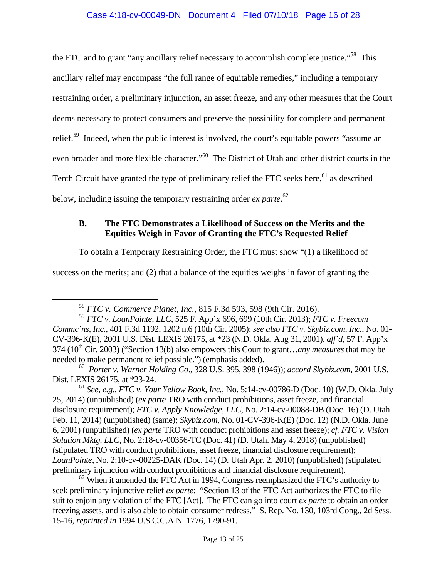## Case 4:18-cv-00049-DN Document 4 Filed 07/10/18 Page 16 of 28

the FTC and to grant "any ancillary relief necessary to accomplish complete justice."<sup>58</sup> This ancillary relief may encompass "the full range of equitable remedies," including a temporary restraining order, a preliminary injunction, an asset freeze, and any other measures that the Court deems necessary to protect consumers and preserve the possibility for complete and permanent relief.<sup>59</sup> Indeed, when the public interest is involved, the court's equitable powers "assume an even broader and more flexible character."<sup>60</sup> The District of Utah and other district courts in the Tenth Circuit have granted the type of preliminary relief the FTC seeks here,  $61$  as described below, including issuing the temporary restraining order *ex parte*. 62

## **B. The FTC Demonstrates a Likelihood of Success on the Merits and the Equities Weigh in Favor of Granting the FTC's Requested Relief**

To obtain a Temporary Restraining Order, the FTC must show "(1) a likelihood of

success on the merits; and (2) that a balance of the equities weighs in favor of granting the

 $\overline{a}$ 

 $62$  When it amended the FTC Act in 1994, Congress reemphasized the FTC's authority to seek preliminary injunctive relief *ex parte*: "Section 13 of the FTC Act authorizes the FTC to file suit to enjoin any violation of the FTC [Act]. The FTC can go into court *ex parte* to obtain an order freezing assets, and is also able to obtain consumer redress." S. Rep. No. 130, 103rd Cong., 2d Sess. 15-16, *reprinted in* 1994 U.S.C.C.A.N. 1776, 1790-91.

<sup>58</sup>*FTC v. Commerce Planet, Inc.*, 815 F.3d 593, 598 (9th Cir. 2016).

<sup>59</sup>*FTC v. LoanPointe, LLC*, 525 F. App'x 696, 699 (10th Cir. 2013); *FTC v. Freecom Commc'ns, Inc.*, 401 F.3d 1192, 1202 n.6 (10th Cir. 2005); *see also FTC v. Skybiz.com, Inc.*, No. 01- CV-396-K(E), 2001 U.S. Dist. LEXIS 26175, at \*23 (N.D. Okla. Aug 31, 2001), *aff'd*, 57 F. App'x 374 (10th Cir. 2003) ("Section 13(b) also empowers this Court to grant…*any measures* that may be needed to make permanent relief possible.") (emphasis added).

 <sup>60</sup>*Porter v. Warner Holding Co*., 328 U.S. 395, 398 (1946)); *accord Skybiz.com*, 2001 U.S. Dist. LEXIS 26175, at \*23-24.

<sup>61</sup>*See, e.g*., *FTC v. Your Yellow Book, Inc.,* No. 5:14-cv-00786-D (Doc. 10) (W.D. Okla. July 25, 2014) (unpublished) (*ex parte* TRO with conduct prohibitions, asset freeze, and financial disclosure requirement); *FTC v. Apply Knowledge, LLC*, No. 2:14-cv-00088-DB (Doc. 16) (D. Utah Feb. 11, 2014) (unpublished) (same); *Skybiz.com,* No. 01-CV-396-K(E) (Doc. 12) (N.D. Okla. June 6, 2001) (unpublished) (*ex parte* TRO with conduct prohibitions and asset freeze); *cf. FTC v. Vision Solution Mktg. LLC*, No. 2:18-cv-00356-TC (Doc. 41) (D. Utah. May 4, 2018) (unpublished) (stipulated TRO with conduct prohibitions, asset freeze, financial disclosure requirement); *LoanPointe*, No. 2:10-cv-00225-DAK (Doc. 14) (D. Utah Apr. 2, 2010) (unpublished) (stipulated preliminary injunction with conduct prohibitions and financial disclosure requirement).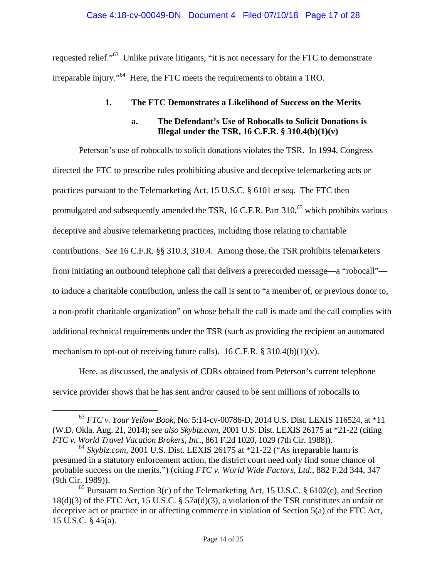requested relief."63 Unlike private litigants, "it is not necessary for the FTC to demonstrate irreparable injury."64 Here, the FTC meets the requirements to obtain a TRO.

## **1. The FTC Demonstrates a Likelihood of Success on the Merits**

## **a. The Defendant's Use of Robocalls to Solicit Donations is Illegal under the TSR, 16 C.F.R. § 310.4(b)(1)(v)**

Peterson's use of robocalls to solicit donations violates the TSR. In 1994, Congress directed the FTC to prescribe rules prohibiting abusive and deceptive telemarketing acts or practices pursuant to the Telemarketing Act, 15 U.S.C. § 6101 *et seq*. The FTC then promulgated and subsequently amended the TSR, 16 C.F.R. Part  $310<sup>65</sup>$  which prohibits various deceptive and abusive telemarketing practices, including those relating to charitable contributions. *See* 16 C.F.R. §§ 310.3, 310.4. Among those, the TSR prohibits telemarketers from initiating an outbound telephone call that delivers a prerecorded message—a "robocall" to induce a charitable contribution, unless the call is sent to "a member of, or previous donor to, a non-profit charitable organization" on whose behalf the call is made and the call complies with additional technical requirements under the TSR (such as providing the recipient an automated mechanism to opt-out of receiving future calls). 16 C.F.R.  $\S 310.4(b)(1)(v)$ .

Here, as discussed, the analysis of CDRs obtained from Peterson's current telephone service provider shows that he has sent and/or caused to be sent millions of robocalls to

<sup>63</sup>*FTC v. Your Yellow Book*, No. 5:14-cv-00786-D, 2014 U.S. Dist. LEXIS 116524, at \*11 (W.D. Okla. Aug. 21, 2014); *see also Skybiz.com*, 2001 U.S. Dist. LEXIS 26175 at \*21-22 (citing *FTC v. World Travel Vacation Brokers, Inc.*, 861 F.2d 1020, 1029 (7th Cir. 1988)).

<sup>64</sup>*Skybiz.com*, 2001 U.S. Dist. LEXIS 26175 at \*21-22 ("As irreparable harm is presumed in a statutory enforcement action, the district court need only find some chance of probable success on the merits.") (citing *FTC v. World Wide Factors, Ltd.*, 882 F.2d 344, 347 (9th Cir. 1989)).

 $65$  Pursuant to Section 3(c) of the Telemarketing Act, 15 U.S.C. § 6102(c), and Section 18(d)(3) of the FTC Act, 15 U.S.C. § 57a(d)(3), a violation of the TSR constitutes an unfair or deceptive act or practice in or affecting commerce in violation of Section 5(a) of the FTC Act, 15 U.S.C. § 45(a).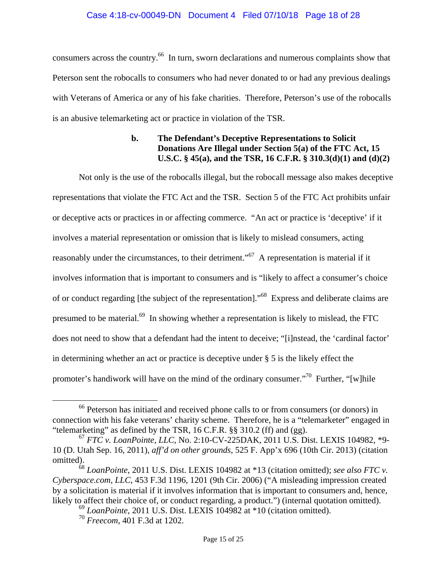#### Case 4:18-cv-00049-DN Document 4 Filed 07/10/18 Page 18 of 28

consumers across the country.<sup>66</sup> In turn, sworn declarations and numerous complaints show that Peterson sent the robocalls to consumers who had never donated to or had any previous dealings with Veterans of America or any of his fake charities. Therefore, Peterson's use of the robocalls is an abusive telemarketing act or practice in violation of the TSR.

## **b. The Defendant's Deceptive Representations to Solicit Donations Are Illegal under Section 5(a) of the FTC Act, 15 U.S.C. § 45(a), and the TSR, 16 C.F.R. § 310.3(d)(1) and (d)(2)**

Not only is the use of the robocalls illegal, but the robocall message also makes deceptive representations that violate the FTC Act and the TSR. Section 5 of the FTC Act prohibits unfair or deceptive acts or practices in or affecting commerce. "An act or practice is 'deceptive' if it involves a material representation or omission that is likely to mislead consumers, acting reasonably under the circumstances, to their detriment."<sup>67</sup> A representation is material if it involves information that is important to consumers and is "likely to affect a consumer's choice of or conduct regarding [the subject of the representation]."68 Express and deliberate claims are presumed to be material.<sup>69</sup> In showing whether a representation is likely to mislead, the FTC does not need to show that a defendant had the intent to deceive; "[i]nstead, the 'cardinal factor' in determining whether an act or practice is deceptive under  $\S$  5 is the likely effect the promoter's handiwork will have on the mind of the ordinary consumer."<sup>70</sup> Further, "[w]hile

<sup>&</sup>lt;sup>66</sup> Peterson has initiated and received phone calls to or from consumers (or donors) in connection with his fake veterans' charity scheme. Therefore, he is a "telemarketer" engaged in "telemarketing" as defined by the TSR, 16 C.F.R. §§ 310.2 (ff) and (gg).

<sup>67</sup>*FTC v. LoanPointe, LLC,* No. 2:10-CV-225DAK, 2011 U.S. Dist. LEXIS 104982, \*9- 10 (D. Utah Sep. 16, 2011), *aff'd on other grounds*, 525 F. App'x 696 (10th Cir. 2013) (citation omitted).

<sup>68</sup>*LoanPointe*, 2011 U.S. Dist. LEXIS 104982 at \*13 (citation omitted); *see also FTC v. Cyberspace.com, LLC*, 453 F.3d 1196, 1201 (9th Cir. 2006) ("A misleading impression created by a solicitation is material if it involves information that is important to consumers and, hence, likely to affect their choice of, or conduct regarding, a product.") (internal quotation omitted).

<sup>69</sup>*LoanPointe*, 2011 U.S. Dist. LEXIS 104982 at \*10 (citation omitted).

<sup>70</sup>*Freecom*, 401 F.3d at 1202.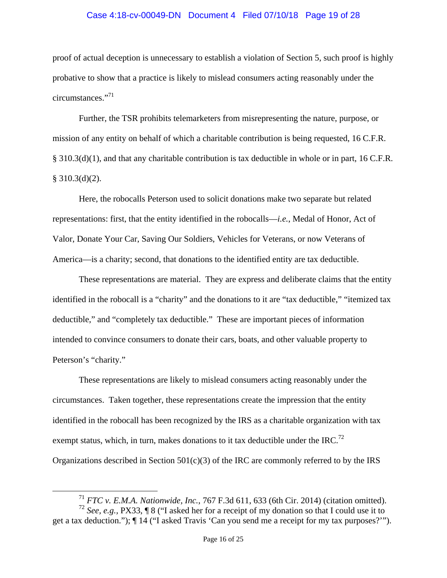#### Case 4:18-cv-00049-DN Document 4 Filed 07/10/18 Page 19 of 28

proof of actual deception is unnecessary to establish a violation of Section 5, such proof is highly probative to show that a practice is likely to mislead consumers acting reasonably under the circumstances."71

Further, the TSR prohibits telemarketers from misrepresenting the nature, purpose, or mission of any entity on behalf of which a charitable contribution is being requested, 16 C.F.R. § 310.3(d)(1), and that any charitable contribution is tax deductible in whole or in part, 16 C.F.R.  $§$  310.3(d)(2).

Here, the robocalls Peterson used to solicit donations make two separate but related representations: first, that the entity identified in the robocalls—*i.e.*, Medal of Honor, Act of Valor, Donate Your Car, Saving Our Soldiers, Vehicles for Veterans, or now Veterans of America—is a charity; second, that donations to the identified entity are tax deductible.

These representations are material. They are express and deliberate claims that the entity identified in the robocall is a "charity" and the donations to it are "tax deductible," "itemized tax deductible," and "completely tax deductible." These are important pieces of information intended to convince consumers to donate their cars, boats, and other valuable property to Peterson's "charity."

exempt status, which, in turn, makes donations to it tax deductible under the IRC.<sup>72</sup> These representations are likely to mislead consumers acting reasonably under the circumstances. Taken together, these representations create the impression that the entity identified in the robocall has been recognized by the IRS as a charitable organization with tax Organizations described in Section  $501(c)(3)$  of the IRC are commonly referred to by the IRS

<sup>71</sup>*FTC v. E.M.A. Nationwide, Inc.*, 767 F.3d 611, 633 (6th Cir. 2014) (citation omitted).

<sup>72</sup>*See, e.g.,* PX33, ¶ 8 ("I asked her for a receipt of my donation so that I could use it to get a tax deduction."); ¶ 14 ("I asked Travis 'Can you send me a receipt for my tax purposes?'").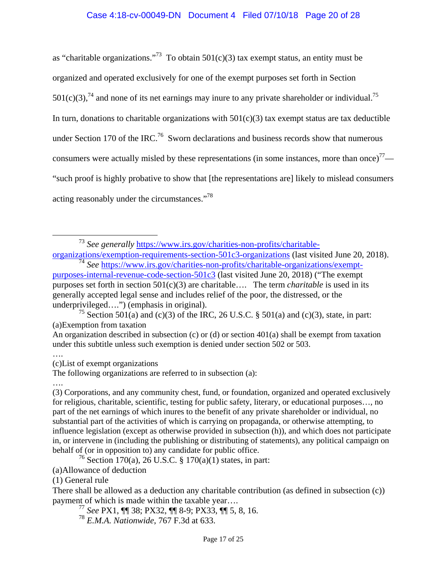$501(c)(3)$ ,<sup>74</sup> and none of its net earnings may inure to any private shareholder or individual.<sup>75</sup> as "charitable organizations."<sup>73</sup> To obtain  $501(c)(3)$  tax exempt status, an entity must be organized and operated exclusively for one of the exempt purposes set forth in Section In turn, donations to charitable organizations with  $501(c)(3)$  tax exempt status are tax deductible under Section 170 of the IRC.<sup>76</sup> Sworn declarations and business records show that numerous consumers were actually misled by these representations (in some instances, more than once)<sup>77</sup>— "such proof is highly probative to show that [the representations are] likely to mislead consumers acting reasonably under the circumstances."<sup>78</sup>

 <sup>74</sup>*See* https://www.irs.gov/charities-non-profits/charitable-organizations/exemptorganizations/exemption-requirements-section-501c3-organizations (last visited June 20, 2018).

….

….

 $\overline{a}$ 

The following organizations are referred to in subsection (a):

<sup>76</sup> Section 170(a), 26 U.S.C. § 170(a)(1) states, in part:

(a)Allowance of deduction

(1) General rule

There shall be allowed as a deduction any charitable contribution (as defined in subsection (c)) payment of which is made within the taxable year….

<sup>77</sup>*See* PX1, ¶¶ 38; PX32, ¶¶ 8-9; PX33, ¶¶ 5, 8, 16.

<sup>78</sup>*E.M.A. Nationwide*, 767 F.3d at 633.

<sup>73</sup>*See generally* https://www.irs.gov/charities-non-profits/charitable-

purposes-internal-revenue-code-section-501c3 (last visited June 20, 2018) ("The exempt purposes set forth in section 501(c)(3) are charitable…. The term *charitable* is used in its generally accepted legal sense and includes relief of the poor, the distressed, or the underprivileged….") (emphasis in original).

<sup>&</sup>lt;sup>75</sup> Section 501(a) and (c)(3) of the IRC, 26 U.S.C. § 501(a) and (c)(3), state, in part: (a)Exemption from taxation

An organization described in subsection (c) or (d) or section 401(a) shall be exempt from taxation under this subtitle unless such exemption is denied under section 502 or 503.

<sup>(</sup>c)List of exempt organizations

<sup>(3)</sup> Corporations, and any community chest, fund, or foundation, organized and operated exclusively for religious, charitable, scientific, testing for public safety, literary, or educational purposes…, no part of the net earnings of which inures to the benefit of any private shareholder or individual, no substantial part of the activities of which is carrying on propaganda, or otherwise attempting, to influence legislation (except as otherwise provided in subsection (h)), and which does not participate in, or intervene in (including the publishing or distributing of statements), any political campaign on behalf of (or in opposition to) any candidate for public office.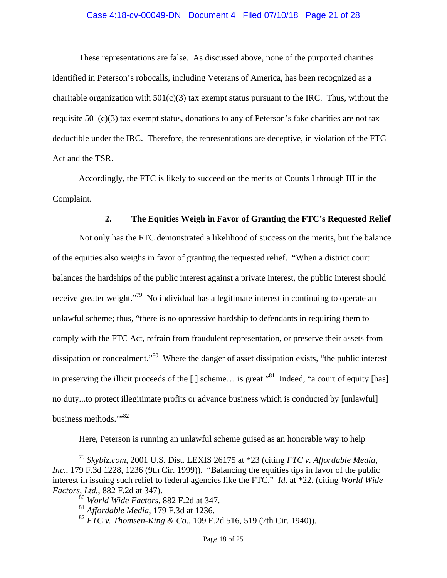## Case 4:18-cv-00049-DN Document 4 Filed 07/10/18 Page 21 of 28

These representations are false. As discussed above, none of the purported charities identified in Peterson's robocalls, including Veterans of America, has been recognized as a charitable organization with  $501(c)(3)$  tax exempt status pursuant to the IRC. Thus, without the requisite 501(c)(3) tax exempt status, donations to any of Peterson's fake charities are not tax deductible under the IRC. Therefore, the representations are deceptive, in violation of the FTC Act and the TSR.

Accordingly, the FTC is likely to succeed on the merits of Counts I through III in the Complaint.

#### **2. The Equities Weigh in Favor of Granting the FTC's Requested Relief**

Not only has the FTC demonstrated a likelihood of success on the merits, but the balance of the equities also weighs in favor of granting the requested relief. "When a district court balances the hardships of the public interest against a private interest, the public interest should receive greater weight."<sup>79</sup> No individual has a legitimate interest in continuing to operate an unlawful scheme; thus, "there is no oppressive hardship to defendants in requiring them to comply with the FTC Act, refrain from fraudulent representation, or preserve their assets from dissipation or concealment.<sup>80</sup> Where the danger of asset dissipation exists, "the public interest" in preserving the illicit proceeds of the  $\lceil \cdot \rceil$  scheme... is great.<sup>81</sup> Indeed, "a court of equity [has] no duty...to protect illegitimate profits or advance business which is conducted by [unlawful] business methods."<sup>82</sup>

Here, Peterson is running an unlawful scheme guised as an honorable way to help

<sup>79</sup>*Skybiz.com*, 2001 U.S. Dist. LEXIS 26175 at \*23 (citing *FTC v. Affordable Media, Inc.*, 179 F.3d 1228, 1236 (9th Cir. 1999)). "Balancing the equities tips in favor of the public interest in issuing such relief to federal agencies like the FTC." *Id*. at \*22. (citing *World Wide Factors, Ltd.*, 882 F.2d at 347).

<sup>80</sup>*World Wide Factors*, 882 F.2d at 347.

<sup>81</sup>*Affordable Media*, 179 F.3d at 1236.

<sup>82</sup>*FTC v. Thomsen-King & Co*., 109 F.2d 516, 519 (7th Cir. 1940)).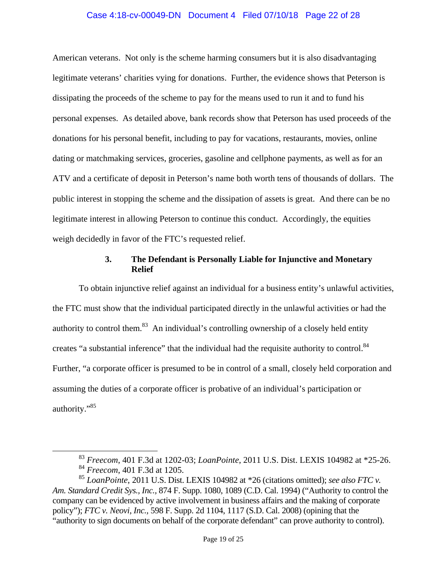#### Case 4:18-cv-00049-DN Document 4 Filed 07/10/18 Page 22 of 28

American veterans. Not only is the scheme harming consumers but it is also disadvantaging legitimate veterans' charities vying for donations. Further, the evidence shows that Peterson is dissipating the proceeds of the scheme to pay for the means used to run it and to fund his personal expenses. As detailed above, bank records show that Peterson has used proceeds of the donations for his personal benefit, including to pay for vacations, restaurants, movies, online dating or matchmaking services, groceries, gasoline and cellphone payments, as well as for an ATV and a certificate of deposit in Peterson's name both worth tens of thousands of dollars. The public interest in stopping the scheme and the dissipation of assets is great. And there can be no legitimate interest in allowing Peterson to continue this conduct. Accordingly, the equities weigh decidedly in favor of the FTC's requested relief.

#### **3. The Defendant is Personally Liable for Injunctive and Monetary Relief**

creates "a substantial inference" that the individual had the requisite authority to control.  $84$ To obtain injunctive relief against an individual for a business entity's unlawful activities, the FTC must show that the individual participated directly in the unlawful activities or had the authority to control them. $83$  An individual's controlling ownership of a closely held entity Further, "a corporate officer is presumed to be in control of a small, closely held corporation and assuming the duties of a corporate officer is probative of an individual's participation or authority."85

1

<sup>83</sup>*Freecom*, 401 F.3d at 1202-03; *LoanPointe*, 2011 U.S. Dist. LEXIS 104982 at \*25-26. <sup>84</sup>*Freecom*, 401 F.3d at 1205.

<sup>85</sup>*LoanPointe*, 2011 U.S. Dist. LEXIS 104982 at \*26 (citations omitted); *see also FTC v. Am. Standard Credit Sys., Inc.,* 874 F. Supp. 1080, 1089 (C.D. Cal. 1994) ("Authority to control the company can be evidenced by active involvement in business affairs and the making of corporate policy"); *FTC v. Neovi, Inc.,* 598 F. Supp. 2d 1104, 1117 (S.D. Cal. 2008) (opining that the "authority to sign documents on behalf of the corporate defendant" can prove authority to control).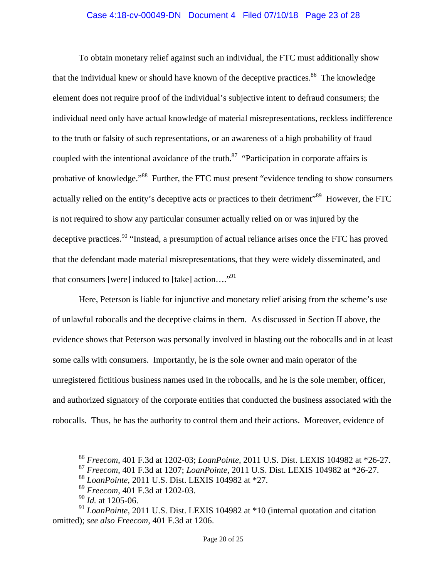#### Case 4:18-cv-00049-DN Document 4 Filed 07/10/18 Page 23 of 28

To obtain monetary relief against such an individual, the FTC must additionally show that the individual knew or should have known of the deceptive practices.<sup>86</sup> The knowledge element does not require proof of the individual's subjective intent to defraud consumers; the individual need only have actual knowledge of material misrepresentations, reckless indifference to the truth or falsity of such representations, or an awareness of a high probability of fraud coupled with the intentional avoidance of the truth.<sup>87</sup> "Participation in corporate affairs is probative of knowledge."88 Further, the FTC must present "evidence tending to show consumers actually relied on the entity's deceptive acts or practices to their detriment"<sup>89</sup> However, the FTC is not required to show any particular consumer actually relied on or was injured by the deceptive practices.<sup>90</sup> "Instead, a presumption of actual reliance arises once the FTC has proved that the defendant made material misrepresentations, that they were widely disseminated, and that consumers [were] induced to [take] action...."<sup>91</sup>

Here, Peterson is liable for injunctive and monetary relief arising from the scheme's use of unlawful robocalls and the deceptive claims in them. As discussed in Section II above, the evidence shows that Peterson was personally involved in blasting out the robocalls and in at least some calls with consumers. Importantly, he is the sole owner and main operator of the unregistered fictitious business names used in the robocalls, and he is the sole member, officer, and authorized signatory of the corporate entities that conducted the business associated with the robocalls. Thus, he has the authority to control them and their actions. Moreover, evidence of

<sup>86</sup>*Freecom*, 401 F.3d at 1202-03; *LoanPointe*, 2011 U.S. Dist. LEXIS 104982 at \*26-27.

<sup>87</sup>*Freecom*, 401 F.3d at 1207; *LoanPointe*, 2011 U.S. Dist. LEXIS 104982 at \*26-27.

<sup>88</sup>*LoanPointe*, 2011 U.S. Dist. LEXIS 104982 at \*27.

<sup>89</sup>*Freecom*, 401 F.3d at 1202-03.

<sup>90</sup>*Id.* at 1205-06.

<sup>91</sup>*LoanPointe*, 2011 U.S. Dist. LEXIS 104982 at \*10 (internal quotation and citation omitted); *see also Freecom*, 401 F.3d at 1206.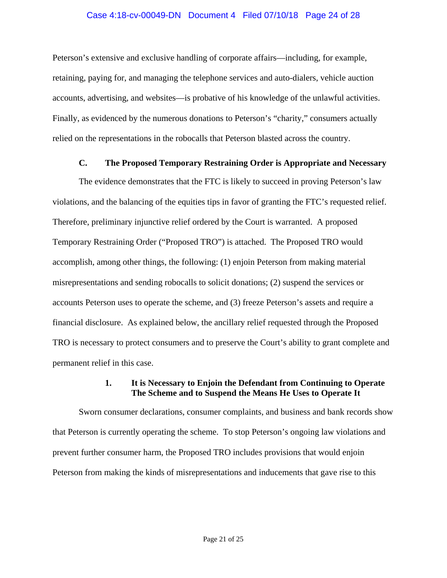#### Case 4:18-cv-00049-DN Document 4 Filed 07/10/18 Page 24 of 28

Peterson's extensive and exclusive handling of corporate affairs—including, for example, retaining, paying for, and managing the telephone services and auto-dialers, vehicle auction accounts, advertising, and websites—is probative of his knowledge of the unlawful activities. Finally, as evidenced by the numerous donations to Peterson's "charity," consumers actually relied on the representations in the robocalls that Peterson blasted across the country.

#### **C. The Proposed Temporary Restraining Order is Appropriate and Necessary**

The evidence demonstrates that the FTC is likely to succeed in proving Peterson's law violations, and the balancing of the equities tips in favor of granting the FTC's requested relief. Therefore, preliminary injunctive relief ordered by the Court is warranted. A proposed Temporary Restraining Order ("Proposed TRO") is attached. The Proposed TRO would accomplish, among other things, the following: (1) enjoin Peterson from making material misrepresentations and sending robocalls to solicit donations; (2) suspend the services or accounts Peterson uses to operate the scheme, and (3) freeze Peterson's assets and require a financial disclosure. As explained below, the ancillary relief requested through the Proposed TRO is necessary to protect consumers and to preserve the Court's ability to grant complete and permanent relief in this case.

## **1. It is Necessary to Enjoin the Defendant from Continuing to Operate The Scheme and to Suspend the Means He Uses to Operate It**

Sworn consumer declarations, consumer complaints, and business and bank records show that Peterson is currently operating the scheme. To stop Peterson's ongoing law violations and prevent further consumer harm, the Proposed TRO includes provisions that would enjoin Peterson from making the kinds of misrepresentations and inducements that gave rise to this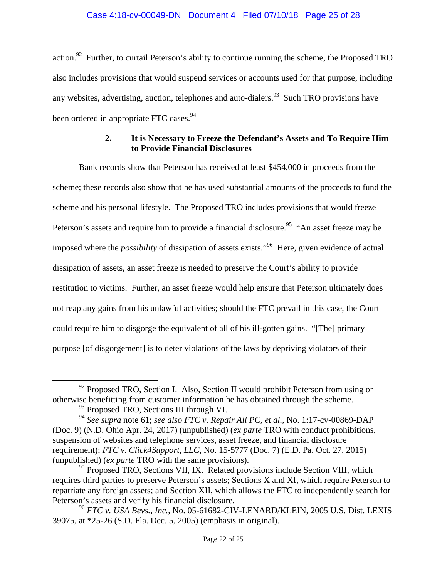#### Case 4:18-cv-00049-DN Document 4 Filed 07/10/18 Page 25 of 28

action.<sup>92</sup> Further, to curtail Peterson's ability to continue running the scheme, the Proposed TRO also includes provisions that would suspend services or accounts used for that purpose, including any websites, advertising, auction, telephones and auto-dialers.<sup>93</sup> Such TRO provisions have been ordered in appropriate FTC cases.<sup>94</sup>

### **2. It is Necessary to Freeze the Defendant's Assets and To Require Him to Provide Financial Disclosures**

Bank records show that Peterson has received at least \$454,000 in proceeds from the scheme; these records also show that he has used substantial amounts of the proceeds to fund the scheme and his personal lifestyle. The Proposed TRO includes provisions that would freeze Peterson's assets and require him to provide a financial disclosure.<sup>95</sup> "An asset freeze may be imposed where the *possibility* of dissipation of assets exists."96 Here, given evidence of actual dissipation of assets, an asset freeze is needed to preserve the Court's ability to provide restitution to victims. Further, an asset freeze would help ensure that Peterson ultimately does not reap any gains from his unlawful activities; should the FTC prevail in this case, the Court could require him to disgorge the equivalent of all of his ill-gotten gains. "[The] primary purpose [of disgorgement] is to deter violations of the laws by depriving violators of their

 $92$  Proposed TRO, Section I. Also, Section II would prohibit Peterson from using or otherwise benefitting from customer information he has obtained through the scheme.

<sup>&</sup>lt;sup>93</sup> Proposed TRO, Sections III through VI.

<sup>94</sup>*See supra* note 61; *see also FTC v. Repair All PC, et al.*, No. 1:17-cv-00869-DAP (Doc. 9) (N.D. Ohio Apr. 24, 2017) (unpublished) (*ex parte* TRO with conduct prohibitions, suspension of websites and telephone services, asset freeze, and financial disclosure requirement); *FTC v. Click4Support, LLC*, No. 15-5777 (Doc. 7) (E.D. Pa. Oct. 27, 2015) (unpublished) (*ex parte* TRO with the same provisions).

 $95$  Proposed TRO, Sections VII, IX. Related provisions include Section VIII, which requires third parties to preserve Peterson's assets; Sections X and XI, which require Peterson to repatriate any foreign assets; and Section XII, which allows the FTC to independently search for Peterson's assets and verify his financial disclosure.

<sup>96</sup>*FTC v. USA Bevs., Inc.*, No. 05-61682-CIV-LENARD/KLEIN, 2005 U.S. Dist. LEXIS 39075, at \*25-26 (S.D. Fla. Dec. 5, 2005) (emphasis in original).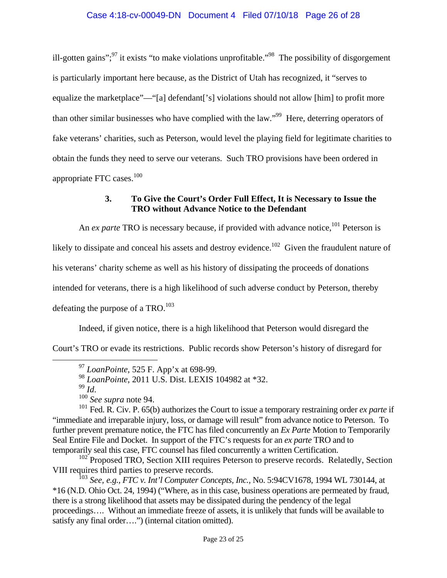ill-gotten gains";<sup>97</sup> it exists "to make violations unprofitable."<sup>98</sup> The possibility of disgorgement is particularly important here because, as the District of Utah has recognized, it "serves to equalize the marketplace"—"[a] defendant['s] violations should not allow [him] to profit more than other similar businesses who have complied with the law."99 Here, deterring operators of fake veterans' charities, such as Peterson, would level the playing field for legitimate charities to obtain the funds they need to serve our veterans. Such TRO provisions have been ordered in appropriate FTC cases.<sup>100</sup>

## **3. To Give the Court's Order Full Effect, It is Necessary to Issue the TRO without Advance Notice to the Defendant**

An *ex parte* TRO is necessary because, if provided with advance notice,<sup>101</sup> Peterson is

likely to dissipate and conceal his assets and destroy evidence.<sup>102</sup> Given the fraudulent nature of

his veterans' charity scheme as well as his history of dissipating the proceeds of donations

intended for veterans, there is a high likelihood of such adverse conduct by Peterson, thereby

defeating the purpose of a TRO.<sup>103</sup>

Indeed, if given notice, there is a high likelihood that Peterson would disregard the

Court's TRO or evade its restrictions. Public records show Peterson's history of disregard for

<sup>97</sup>*LoanPointe*, 525 F. App'x at 698-99.

<sup>&</sup>lt;sup>98</sup> LoanPointe, 2011 U.S. Dist. LEXIS 104982 at \*32.<br><sup>99</sup> Id

<sup>99</sup>*Id*. 100 *See supra* note 94.

<sup>&</sup>lt;sup>101</sup> Fed. R. Civ. P. 65(b) authorizes the Court to issue a temporary restraining order *ex parte* if "immediate and irreparable injury, loss, or damage will result" from advance notice to Peterson. To further prevent premature notice, the FTC has filed concurrently an *Ex Parte* Motion to Temporarily Seal Entire File and Docket. In support of the FTC's requests for an *ex parte* TRO and to temporarily seal this case, FTC counsel has filed concurrently a written Certification.

<sup>&</sup>lt;sup>102</sup> Proposed TRO, Section XIII requires Peterson to preserve records. Relatedly, Section VIII requires third parties to preserve records.

<sup>103</sup>*See, e.g., FTC v. Int'l Computer Concepts, Inc.,* No. 5:94CV1678, 1994 WL 730144, at \*16 (N.D. Ohio Oct. 24, 1994) ("Where, as in this case, business operations are permeated by fraud, there is a strong likelihood that assets may be dissipated during the pendency of the legal proceedings…. Without an immediate freeze of assets, it is unlikely that funds will be available to satisfy any final order….") (internal citation omitted).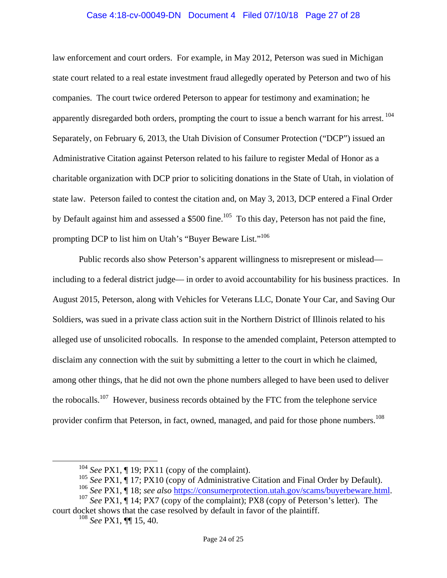#### Case 4:18-cv-00049-DN Document 4 Filed 07/10/18 Page 27 of 28

law enforcement and court orders. For example, in May 2012, Peterson was sued in Michigan state court related to a real estate investment fraud allegedly operated by Peterson and two of his companies. The court twice ordered Peterson to appear for testimony and examination; he apparently disregarded both orders, prompting the court to issue a bench warrant for his arrest.<sup>104</sup> Separately, on February 6, 2013, the Utah Division of Consumer Protection ("DCP") issued an Administrative Citation against Peterson related to his failure to register Medal of Honor as a charitable organization with DCP prior to soliciting donations in the State of Utah, in violation of state law. Peterson failed to contest the citation and, on May 3, 2013, DCP entered a Final Order by Default against him and assessed a \$500 fine.<sup>105</sup> To this day, Peterson has not paid the fine, prompting DCP to list him on Utah's "Buyer Beware List."106

Public records also show Peterson's apparent willingness to misrepresent or mislead including to a federal district judge— in order to avoid accountability for his business practices. In August 2015, Peterson, along with Vehicles for Veterans LLC, Donate Your Car, and Saving Our Soldiers, was sued in a private class action suit in the Northern District of Illinois related to his alleged use of unsolicited robocalls. In response to the amended complaint, Peterson attempted to disclaim any connection with the suit by submitting a letter to the court in which he claimed, among other things, that he did not own the phone numbers alleged to have been used to deliver the robocalls.<sup>107</sup> However, business records obtained by the FTC from the telephone service provider confirm that Peterson, in fact, owned, managed, and paid for those phone numbers.<sup>108</sup>

<u>.</u>

<sup>104</sup>*See* PX1, ¶ 19; PX11 (copy of the complaint).

<sup>&</sup>lt;sup>105</sup> See PX1,  $\stackrel{\bullet}{\parallel}$  17; PX10 (copy of Administrative Citation and Final Order by Default).

<sup>&</sup>lt;sup>106</sup> See PX1, ¶ 18; *see also* https://consumerprotection.utah.gov/scams/buyerbeware.html.<br><sup>107</sup> See PX1, ¶ 14; PX7 (copy of the complaint); PX8 (copy of Peterson's letter). The

court docket shows that the case resolved by default in favor of the plaintiff.

<sup>108</sup>*See* PX1, ¶¶ 15, 40.